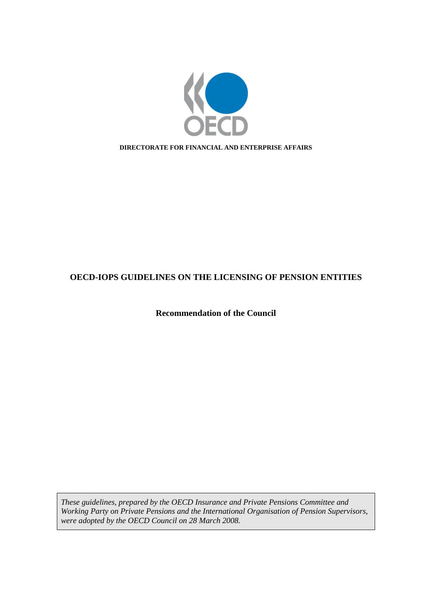

# **OECD-IOPS GUIDELINES ON THE LICENSING OF PENSION ENTITIES**

**Recommendation of the Council**

*These guidelines, prepared by the OECD Insurance and Private Pensions Committee and Working Party on Private Pensions and the International Organisation of Pension Supervisors, were adopted by the OECD Council on 28 March 2008.*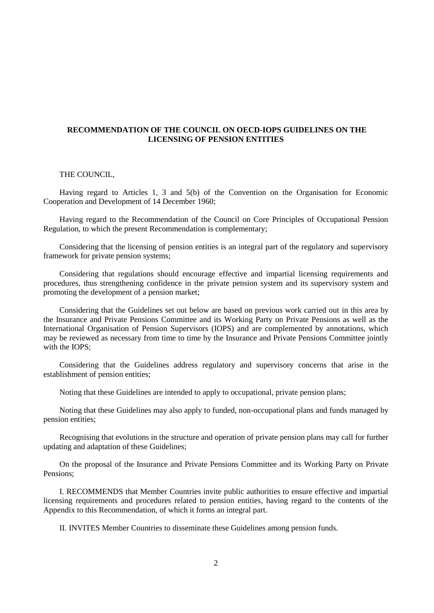## **RECOMMENDATION OF THE COUNCIL ON OECD-IOPS GUIDELINES ON THE LICENSING OF PENSION ENTITIES**

#### THE COUNCIL,

Having regard to Articles 1, 3 and 5(b) of the Convention on the Organisation for Economic Cooperation and Development of 14 December 1960;

Having regard to the Recommendation of the Council on Core Principles of Occupational Pension Regulation, to which the present Recommendation is complementary;

Considering that the licensing of pension entities is an integral part of the regulatory and supervisory framework for private pension systems;

Considering that regulations should encourage effective and impartial licensing requirements and procedures, thus strengthening confidence in the private pension system and its supervisory system and promoting the development of a pension market;

Considering that the Guidelines set out below are based on previous work carried out in this area by the Insurance and Private Pensions Committee and its Working Party on Private Pensions as well as the International Organisation of Pension Supervisors (IOPS) and are complemented by annotations, which may be reviewed as necessary from time to time by the Insurance and Private Pensions Committee jointly with the IOPS:

Considering that the Guidelines address regulatory and supervisory concerns that arise in the establishment of pension entities;

Noting that these Guidelines are intended to apply to occupational, private pension plans;

Noting that these Guidelines may also apply to funded, non-occupational plans and funds managed by pension entities;

Recognising that evolutions in the structure and operation of private pension plans may call for further updating and adaptation of these Guidelines;

On the proposal of the Insurance and Private Pensions Committee and its Working Party on Private Pensions;

I. RECOMMENDS that Member Countries invite public authorities to ensure effective and impartial licensing requirements and procedures related to pension entities, having regard to the contents of the Appendix to this Recommendation, of which it forms an integral part.

II. INVITES Member Countries to disseminate these Guidelines among pension funds.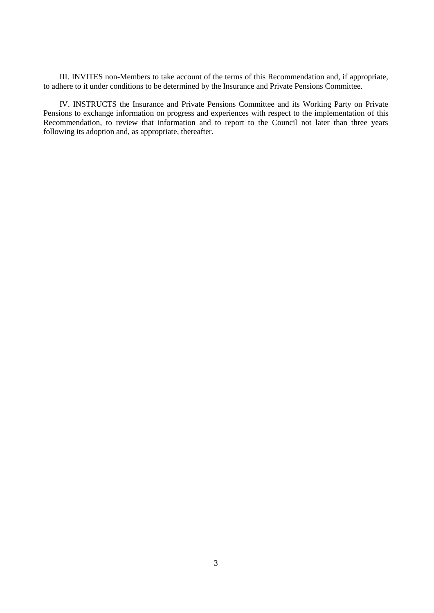III. INVITES non-Members to take account of the terms of this Recommendation and, if appropriate, to adhere to it under conditions to be determined by the Insurance and Private Pensions Committee.

IV. INSTRUCTS the Insurance and Private Pensions Committee and its Working Party on Private Pensions to exchange information on progress and experiences with respect to the implementation of this Recommendation, to review that information and to report to the Council not later than three years following its adoption and, as appropriate, thereafter.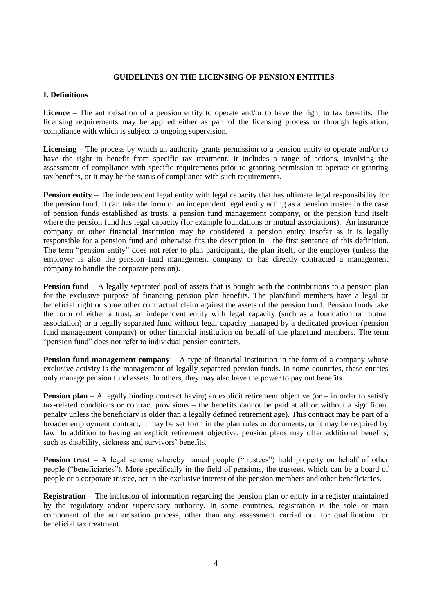#### **GUIDELINES ON THE LICENSING OF PENSION ENTITIES**

### **I. Definitions**

**Licence** – The authorisation of a pension entity to operate and/or to have the right to tax benefits. The licensing requirements may be applied either as part of the licensing process or through legislation, compliance with which is subject to ongoing supervision.

**Licensing** – The process by which an authority grants permission to a pension entity to operate and/or to have the right to benefit from specific tax treatment. It includes a range of actions, involving the assessment of compliance with specific requirements prior to granting permission to operate or granting tax benefits, or it may be the status of compliance with such requirements.

**Pension entity** – The independent legal entity with legal capacity that has ultimate legal responsibility for the pension fund. It can take the form of an independent legal entity acting as a pension trustee in the case of pension funds established as trusts, a pension fund management company, or the pension fund itself where the pension fund has legal capacity (for example foundations or mutual associations). An insurance company or other financial institution may be considered a pension entity insofar as it is legally responsible for a pension fund and otherwise fits the description in the first sentence of this definition. The term "pension entity" does not refer to plan participants, the plan itself, or the employer (unless the employer is also the pension fund management company or has directly contracted a management company to handle the corporate pension).

**Pension fund** – A legally separated pool of assets that is bought with the contributions to a pension plan for the exclusive purpose of financing pension plan benefits. The plan/fund members have a legal or beneficial right or some other contractual claim against the assets of the pension fund. Pension funds take the form of either a trust, an independent entity with legal capacity (such as a foundation or mutual association) or a legally separated fund without legal capacity managed by a dedicated provider (pension fund management company) or other financial institution on behalf of the plan/fund members. The term "pension fund" does not refer to individual pension contracts.

**Pension fund management company** – A type of financial institution in the form of a company whose exclusive activity is the management of legally separated pension funds. In some countries, these entities only manage pension fund assets. In others, they may also have the power to pay out benefits.

**Pension plan** – A legally binding contract having an explicit retirement objective (or – in order to satisfy tax-related conditions or contract provisions – the benefits cannot be paid at all or without a significant penalty unless the beneficiary is older than a legally defined retirement age). This contract may be part of a broader employment contract, it may be set forth in the plan rules or documents, or it may be required by law. In addition to having an explicit retirement objective, pension plans may offer additional benefits, such as disability, sickness and survivors' benefits.

**Pension trust** – A legal scheme whereby named people ("trustees") hold property on behalf of other people ("beneficiaries"). More specifically in the field of pensions, the trustees, which can be a board of people or a corporate trustee, act in the exclusive interest of the pension members and other beneficiaries.

**Registration** – The inclusion of information regarding the pension plan or entity in a register maintained by the regulatory and/or supervisory authority. In some countries, registration is the sole or main component of the authorisation process, other than any assessment carried out for qualification for beneficial tax treatment.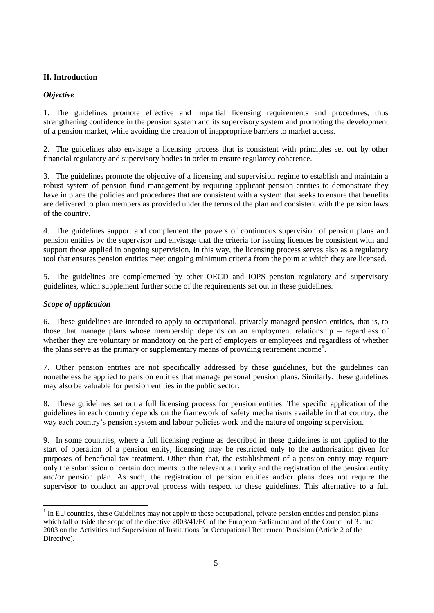# **II. Introduction**

## *Objective*

1. The guidelines promote effective and impartial licensing requirements and procedures, thus strengthening confidence in the pension system and its supervisory system and promoting the development of a pension market, while avoiding the creation of inappropriate barriers to market access.

2. The guidelines also envisage a licensing process that is consistent with principles set out by other financial regulatory and supervisory bodies in order to ensure regulatory coherence.

3. The guidelines promote the objective of a licensing and supervision regime to establish and maintain a robust system of pension fund management by requiring applicant pension entities to demonstrate they have in place the policies and procedures that are consistent with a system that seeks to ensure that benefits are delivered to plan members as provided under the terms of the plan and consistent with the pension laws of the country.

4. The guidelines support and complement the powers of continuous supervision of pension plans and pension entities by the supervisor and envisage that the criteria for issuing licences be consistent with and support those applied in ongoing supervision. In this way, the licensing process serves also as a regulatory tool that ensures pension entities meet ongoing minimum criteria from the point at which they are licensed.

5. The guidelines are complemented by other OECD and IOPS pension regulatory and supervisory guidelines, which supplement further some of the requirements set out in these guidelines.

## *Scope of application*

 $\overline{a}$ 

6. These guidelines are intended to apply to occupational, privately managed pension entities, that is, to those that manage plans whose membership depends on an employment relationship – regardless of whether they are voluntary or mandatory on the part of employers or employees and regardless of whether the plans serve as the primary or supplementary means of providing retirement income**<sup>1</sup>** .

7. Other pension entities are not specifically addressed by these guidelines, but the guidelines can nonetheless be applied to pension entities that manage personal pension plans. Similarly, these guidelines may also be valuable for pension entities in the public sector.

8. These guidelines set out a full licensing process for pension entities. The specific application of the guidelines in each country depends on the framework of safety mechanisms available in that country, the way each country"s pension system and labour policies work and the nature of ongoing supervision.

9. In some countries, where a full licensing regime as described in these guidelines is not applied to the start of operation of a pension entity*,* licensing may be restricted only to the authorisation given for purposes of beneficial tax treatment. Other than that, the establishment of a pension entity may require only the submission of certain documents to the relevant authority and the registration of the pension entity and/or pension plan. As such, the registration of pension entities and/or plans does not require the supervisor to conduct an approval process with respect to these guidelines. This alternative to a full

 $1$  In EU countries, these Guidelines may not apply to those occupational, private pension entities and pension plans which fall outside the scope of the directive  $2003/41/EC$  of the European Parliament and of the Council of 3 June 2003 on the Activities and Supervision of Institutions for Occupational Retirement Provision (Article 2 of the Directive).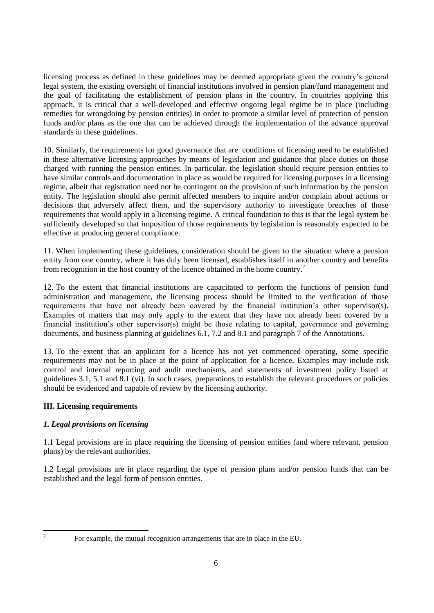licensing process as defined in these guidelines may be deemed appropriate given the country"s general legal system, the existing oversight of financial institutions involved in pension plan/fund management and the goal of facilitating the establishment of pension plans in the country. In countries applying this approach, it is critical that a well-developed and effective ongoing legal regime be in place (including remedies for wrongdoing by pension entities) in order to promote a similar level of protection of pension funds and/or plans as the one that can be achieved through the implementation of the advance approval standards in these guidelines.

10. Similarly, the requirements for good governance that are conditions of licensing need to be established in these alternative licensing approaches by means of legislation and guidance that place duties on those charged with running the pension entities. In particular, the legislation should require pension entities to have similar controls and documentation in place as would be required for licensing purposes in a licensing regime, albeit that registration need not be contingent on the provision of such information by the pension entity. The legislation should also permit affected members to inquire and/or complain about actions or decisions that adversely affect them, and the supervisory authority to investigate breaches of those requirements that would apply in a licensing regime. A critical foundation to this is that the legal system be sufficiently developed so that imposition of those requirements by legislation is reasonably expected to be effective at producing general compliance.

11. When implementing these guidelines, consideration should be given to the situation where a pension entity from one country, where it has duly been licensed, establishes itself in another country and benefits from recognition in the host country of the licence obtained in the home country.<sup>2</sup>

12. To the extent that financial institutions are capacitated to perform the functions of pension fund administration and management, the licensing process should be limited to the verification of those requirements that have not already been covered by the financial institution's other supervisor(s). Examples of matters that may only apply to the extent that they have not already been covered by a financial institution"s other supervisor(s) might be those relating to capital, governance and governing documents, and business planning at guidelines 6.1, 7.2 and 8.1 and paragraph 7 of the Annotations.

13. To the extent that an applicant for a licence has not yet commenced operating, some specific requirements may not be in place at the point of application for a licence. Examples may include risk control and internal reporting and audit mechanisms, and statements of investment policy listed at guidelines 3.1, 5.1 and 8.1 (vi). In such cases, preparations to establish the relevant procedures or policies should be evidenced and capable of review by the licensing authority.

### **III. Licensing requirements**

# *1. Legal provisions on licensing*

1.1 Legal provisions are in place requiring the licensing of pension entities (and where relevant, pension plans) by the relevant authorities.

1.2 Legal provisions are in place regarding the type of pension plans and/or pension funds that can be established and the legal form of pension entities.

 $\frac{1}{2}$ 

For example, the mutual recognition arrangements that are in place in the EU.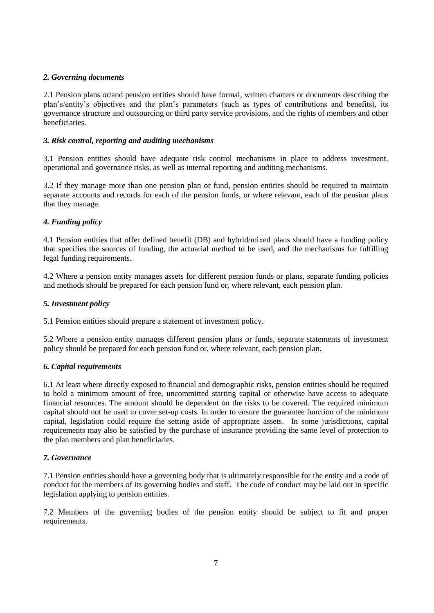## *2. Governing documents*

2.1 Pension plans or/and pension entities should have formal, written charters or documents describing the plan"s/entity"s objectives and the plan"s parameters (such as types of contributions and benefits), its governance structure and outsourcing or third party service provisions, and the rights of members and other beneficiaries.

## *3. Risk control, reporting and auditing mechanisms*

3.1 Pension entities should have adequate risk control mechanisms in place to address investment, operational and governance risks, as well as internal reporting and auditing mechanisms.

3.2 If they manage more than one pension plan or fund, pension entities should be required to maintain separate accounts and records for each of the pension funds, or where relevant, each of the pension plans that they manage*.*

## *4. Funding policy*

4.1 Pension entities that offer defined benefit (DB) and hybrid/mixed plans should have a funding policy that specifies the sources of funding, the actuarial method to be used, and the mechanisms for fulfilling legal funding requirements.

4.2 Where a pension entity manages assets for different pension funds or plans, separate funding policies and methods should be prepared for each pension fund or, where relevant, each pension plan*.*

## *5. Investment policy*

5.1 Pension entities should prepare a statement of investment policy.

5.2 Where a pension entity manages different pension plans or funds, separate statements of investment policy should be prepared for each pension fund or, where relevant, each pension plan*.* 

### *6. Capital requirements*

6.1 At least where directly exposed to financial and demographic risks, pension entities should be required to hold a minimum amount of free, uncommitted starting capital or otherwise have access to adequate financial resources. The amount should be dependent on the risks to be covered. The required minimum capital should not be used to cover set-up costs. In order to ensure the guarantee function of the minimum capital, legislation could require the setting aside of appropriate assets. In some jurisdictions, capital requirements may also be satisfied by the purchase of insurance providing the same level of protection to the plan members and plan beneficiaries.

## *7. Governance*

7.1 Pension entities should have a governing body that is ultimately responsible for the entity and a code of conduct for the members of its governing bodies and staff. The code of conduct may be laid out in specific legislation applying to pension entities.

7.2 Members of the governing bodies of the pension entity should be subject to fit and proper requirements.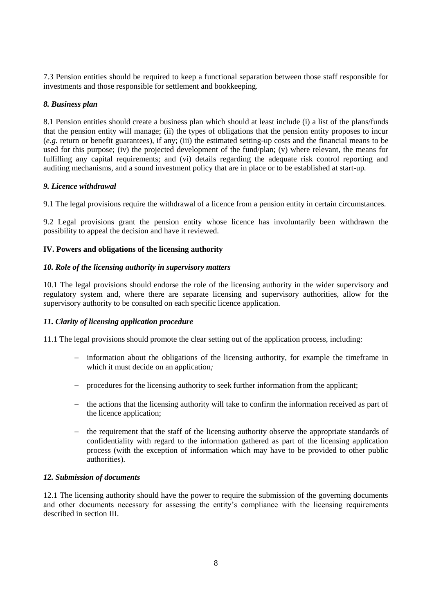7.3 Pension entities should be required to keep a functional separation between those staff responsible for investments and those responsible for settlement and bookkeeping.

### *8. Business plan*

8.1 Pension entities should create a business plan which should at least include (i) a list of the plans/funds that the pension entity will manage; (ii) the types of obligations that the pension entity proposes to incur (*e.g.* return or benefit guarantees), if any; (iii) the estimated setting-up costs and the financial means to be used for this purpose; (iv) the projected development of the fund/plan; (v) where relevant, the means for fulfilling any capital requirements; and (vi) details regarding the adequate risk control reporting and auditing mechanisms, and a sound investment policy that are in place or to be established at start-up*.*

#### *9. Licence withdrawal*

9.1 The legal provisions require the withdrawal of a licence from a pension entity in certain circumstances.

9.2 Legal provisions grant the pension entity whose licence has involuntarily been withdrawn the possibility to appeal the decision and have it reviewed.

### **IV. Powers and obligations of the licensing authority**

#### *10. Role of the licensing authority in supervisory matters*

10.1 The legal provisions should endorse the role of the licensing authority in the wider supervisory and regulatory system and, where there are separate licensing and supervisory authorities, allow for the supervisory authority to be consulted on each specific licence application.

### *11. Clarity of licensing application procedure*

11.1 The legal provisions should promote the clear setting out of the application process, including:

- information about the obligations of the licensing authority, for example the timeframe in which it must decide on an application*;*
- procedures for the licensing authority to seek further information from the applicant;
- $-$  the actions that the licensing authority will take to confirm the information received as part of the licence application;
- the requirement that the staff of the licensing authority observe the appropriate standards of confidentiality with regard to the information gathered as part of the licensing application process (with the exception of information which may have to be provided to other public authorities).

#### *12. Submission of documents*

12.1 The licensing authority should have the power to require the submission of the governing documents and other documents necessary for assessing the entity's compliance with the licensing requirements described in section III.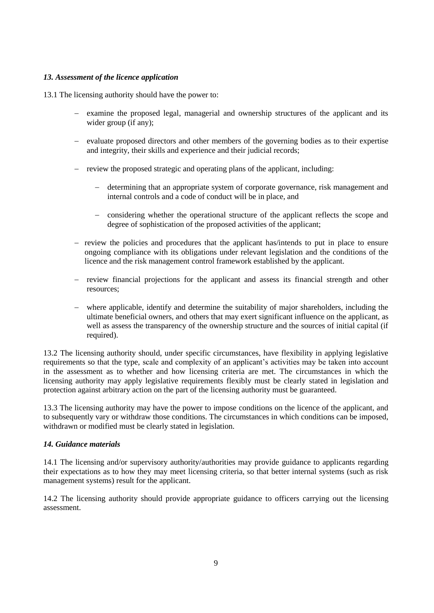## *13. Assessment of the licence application*

13.1 The licensing authority should have the power to:

- examine the proposed legal, managerial and ownership structures of the applicant and its wider group (if any):
- evaluate proposed directors and other members of the governing bodies as to their expertise and integrity, their skills and experience and their judicial records;
- review the proposed strategic and operating plans of the applicant, including:
	- determining that an appropriate system of corporate governance, risk management and internal controls and a code of conduct will be in place, and
	- considering whether the operational structure of the applicant reflects the scope and degree of sophistication of the proposed activities of the applicant;
- review the policies and procedures that the applicant has/intends to put in place to ensure ongoing compliance with its obligations under relevant legislation and the conditions of the licence and the risk management control framework established by the applicant.
- review financial projections for the applicant and assess its financial strength and other resources;
- where applicable, identify and determine the suitability of major shareholders, including the ultimate beneficial owners, and others that may exert significant influence on the applicant, as well as assess the transparency of the ownership structure and the sources of initial capital (if required).

13.2 The licensing authority should, under specific circumstances, have flexibility in applying legislative requirements so that the type, scale and complexity of an applicant"s activities may be taken into account in the assessment as to whether and how licensing criteria are met. The circumstances in which the licensing authority may apply legislative requirements flexibly must be clearly stated in legislation and protection against arbitrary action on the part of the licensing authority must be guaranteed.

13.3 The licensing authority may have the power to impose conditions on the licence of the applicant, and to subsequently vary or withdraw those conditions. The circumstances in which conditions can be imposed, withdrawn or modified must be clearly stated in legislation.

### *14. Guidance materials*

14.1 The licensing and/or supervisory authority/authorities may provide guidance to applicants regarding their expectations as to how they may meet licensing criteria, so that better internal systems (such as risk management systems) result for the applicant.

14.2 The licensing authority should provide appropriate guidance to officers carrying out the licensing assessment.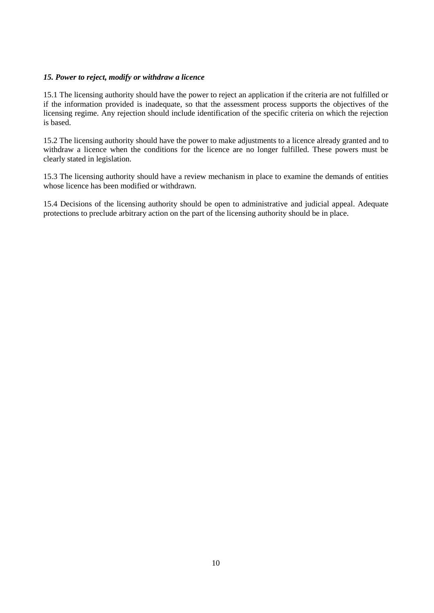### *15. Power to reject, modify or withdraw a licence*

15.1 The licensing authority should have the power to reject an application if the criteria are not fulfilled or if the information provided is inadequate, so that the assessment process supports the objectives of the licensing regime. Any rejection should include identification of the specific criteria on which the rejection is based.

15.2 The licensing authority should have the power to make adjustments to a licence already granted and to withdraw a licence when the conditions for the licence are no longer fulfilled. These powers must be clearly stated in legislation.

15.3 The licensing authority should have a review mechanism in place to examine the demands of entities whose licence has been modified or withdrawn.

15.4 Decisions of the licensing authority should be open to administrative and judicial appeal. Adequate protections to preclude arbitrary action on the part of the licensing authority should be in place.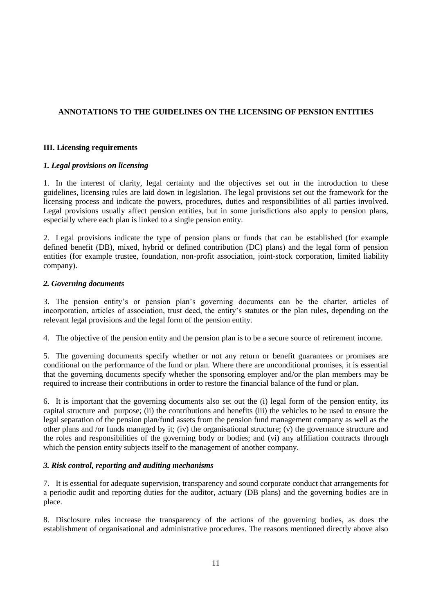## **ANNOTATIONS TO THE GUIDELINES ON THE LICENSING OF PENSION ENTITIES**

#### **III. Licensing requirements**

#### *1. Legal provisions on licensing*

1. In the interest of clarity, legal certainty and the objectives set out in the introduction to these guidelines, licensing rules are laid down in legislation. The legal provisions set out the framework for the licensing process and indicate the powers, procedures, duties and responsibilities of all parties involved. Legal provisions usually affect pension entities, but in some jurisdictions also apply to pension plans, especially where each plan is linked to a single pension entity.

2. Legal provisions indicate the type of pension plans or funds that can be established (for example defined benefit (DB), mixed, hybrid or defined contribution (DC) plans) and the legal form of pension entities (for example trustee, foundation, non-profit association, joint-stock corporation, limited liability company).

#### *2. Governing documents*

3. The pension entity"s or pension plan"s governing documents can be the charter, articles of incorporation, articles of association, trust deed, the entity"s statutes or the plan rules, depending on the relevant legal provisions and the legal form of the pension entity.

4. The objective of the pension entity and the pension plan is to be a secure source of retirement income*.*

5. The governing documents specify whether or not any return or benefit guarantees or promises are conditional on the performance of the fund or plan. Where there are unconditional promises, it is essential that the governing documents specify whether the sponsoring employer and/or the plan members may be required to increase their contributions in order to restore the financial balance of the fund or plan.

6. It is important that the governing documents also set out the (i) legal form of the pension entity, its capital structure and purpose; (ii) the contributions and benefits (iii) the vehicles to be used to ensure the legal separation of the pension plan/fund assets from the pension fund management company as well as the other plans and /or funds managed by it; (iv) the organisational structure; (v) the governance structure and the roles and responsibilities of the governing body or bodies; and (vi) any affiliation contracts through which the pension entity subjects itself to the management of another company.

### *3. Risk control, reporting and auditing mechanisms*

7. It is essential for adequate supervision, transparency and sound corporate conduct that arrangements for a periodic audit and reporting duties for the auditor, actuary (DB plans) and the governing bodies are in place.

8. Disclosure rules increase the transparency of the actions of the governing bodies, as does the establishment of organisational and administrative procedures. The reasons mentioned directly above also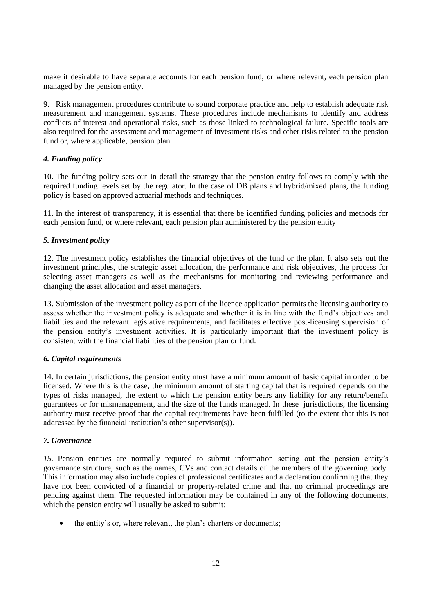make it desirable to have separate accounts for each pension fund, or where relevant, each pension plan managed by the pension entity.

9. Risk management procedures contribute to sound corporate practice and help to establish adequate risk measurement and management systems. These procedures include mechanisms to identify and address conflicts of interest and operational risks, such as those linked to technological failure. Specific tools are also required for the assessment and management of investment risks and other risks related to the pension fund or, where applicable, pension plan.

## *4. Funding policy*

10. The funding policy sets out in detail the strategy that the pension entity follows to comply with the required funding levels set by the regulator. In the case of DB plans and hybrid/mixed plans, the funding policy is based on approved actuarial methods and techniques.

11. In the interest of transparency, it is essential that there be identified funding policies and methods for each pension fund, or where relevant, each pension plan administered by the pension entity

## *5. Investment policy*

12. The investment policy establishes the financial objectives of the fund or the plan. It also sets out the investment principles, the strategic asset allocation, the performance and risk objectives, the process for selecting asset managers as well as the mechanisms for monitoring and reviewing performance and changing the asset allocation and asset managers.

13. Submission of the investment policy as part of the licence application permits the licensing authority to assess whether the investment policy is adequate and whether it is in line with the fund"s objectives and liabilities and the relevant legislative requirements, and facilitates effective post-licensing supervision of the pension entity"s investment activities. It is particularly important that the investment policy is consistent with the financial liabilities of the pension plan or fund.

### *6. Capital requirements*

14. In certain jurisdictions, the pension entity must have a minimum amount of basic capital in order to be licensed. Where this is the case, the minimum amount of starting capital that is required depends on the types of risks managed, the extent to which the pension entity bears any liability for any return/benefit guarantees or for mismanagement, and the size of the funds managed. In these jurisdictions, the licensing authority must receive proof that the capital requirements have been fulfilled (to the extent that this is not addressed by the financial institution"s other supervisor(s)).

### *7. Governance*

*15.* Pension entities are normally required to submit information setting out the pension entity"s governance structure, such as the names, CVs and contact details of the members of the governing body. This information may also include copies of professional certificates and a declaration confirming that they have not been convicted of a financial or property-related crime and that no criminal proceedings are pending against them. The requested information may be contained in any of the following documents, which the pension entity will usually be asked to submit:

• the entity's or, where relevant, the plan's charters or documents;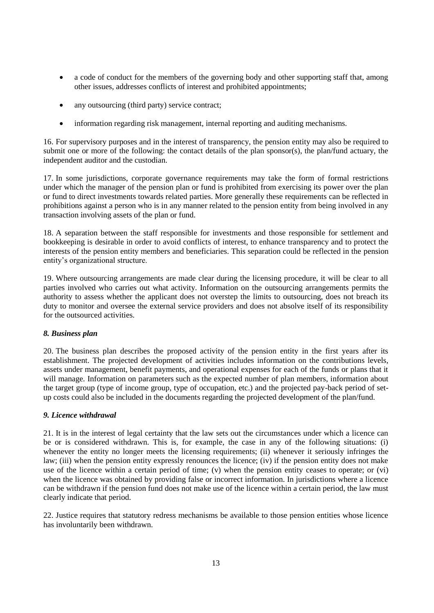- a code of conduct for the members of the governing body and other supporting staff that, among other issues, addresses conflicts of interest and prohibited appointments;
- any outsourcing (third party) service contract;
- information regarding risk management, internal reporting and auditing mechanisms.

16. For supervisory purposes and in the interest of transparency, the pension entity may also be required to submit one or more of the following: the contact details of the plan sponsor(s), the plan/fund actuary, the independent auditor and the custodian.

17. In some jurisdictions, corporate governance requirements may take the form of formal restrictions under which the manager of the pension plan or fund is prohibited from exercising its power over the plan or fund to direct investments towards related parties. More generally these requirements can be reflected in prohibitions against a person who is in any manner related to the pension entity from being involved in any transaction involving assets of the plan or fund.

18. A separation between the staff responsible for investments and those responsible for settlement and bookkeeping is desirable in order to avoid conflicts of interest, to enhance transparency and to protect the interests of the pension entity members and beneficiaries. This separation could be reflected in the pension entity"s organizational structure.

19. Where outsourcing arrangements are made clear during the licensing procedure, it will be clear to all parties involved who carries out what activity. Information on the outsourcing arrangements permits the authority to assess whether the applicant does not overstep the limits to outsourcing, does not breach its duty to monitor and oversee the external service providers and does not absolve itself of its responsibility for the outsourced activities.

### *8. Business plan*

20. The business plan describes the proposed activity of the pension entity in the first years after its establishment. The projected development of activities includes information on the contributions levels, assets under management, benefit payments, and operational expenses for each of the funds or plans that it will manage. Information on parameters such as the expected number of plan members, information about the target group (type of income group, type of occupation, etc.) and the projected pay-back period of setup costs could also be included in the documents regarding the projected development of the plan/fund.

### *9. Licence withdrawal*

21. It is in the interest of legal certainty that the law sets out the circumstances under which a licence can be or is considered withdrawn. This is, for example, the case in any of the following situations: (i) whenever the entity no longer meets the licensing requirements; (ii) whenever it seriously infringes the law; (iii) when the pension entity expressly renounces the licence; (iv) if the pension entity does not make use of the licence within a certain period of time; (v) when the pension entity ceases to operate; or (vi) when the licence was obtained by providing false or incorrect information. In jurisdictions where a licence can be withdrawn if the pension fund does not make use of the licence within a certain period, the law must clearly indicate that period.

22. Justice requires that statutory redress mechanisms be available to those pension entities whose licence has involuntarily been withdrawn.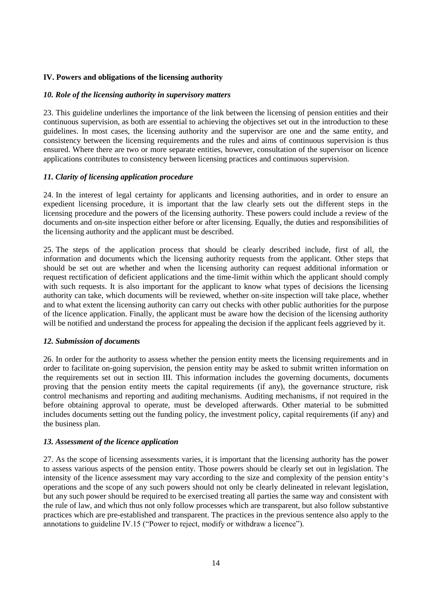### **IV. Powers and obligations of the licensing authority**

#### *10. Role of the licensing authority in supervisory matters*

23. This guideline underlines the importance of the link between the licensing of pension entities and their continuous supervision, as both are essential to achieving the objectives set out in the introduction to these guidelines. In most cases, the licensing authority and the supervisor are one and the same entity, and consistency between the licensing requirements and the rules and aims of continuous supervision is thus ensured. Where there are two or more separate entities, however, consultation of the supervisor on licence applications contributes to consistency between licensing practices and continuous supervision.

### *11. Clarity of licensing application procedure*

24. In the interest of legal certainty for applicants and licensing authorities, and in order to ensure an expedient licensing procedure, it is important that the law clearly sets out the different steps in the licensing procedure and the powers of the licensing authority. These powers could include a review of the documents and on-site inspection either before or after licensing. Equally, the duties and responsibilities of the licensing authority and the applicant must be described.

25. The steps of the application process that should be clearly described include, first of all, the information and documents which the licensing authority requests from the applicant. Other steps that should be set out are whether and when the licensing authority can request additional information or request rectification of deficient applications and the time-limit within which the applicant should comply with such requests. It is also important for the applicant to know what types of decisions the licensing authority can take, which documents will be reviewed, whether on-site inspection will take place, whether and to what extent the licensing authority can carry out checks with other public authorities for the purpose of the licence application. Finally, the applicant must be aware how the decision of the licensing authority will be notified and understand the process for appealing the decision if the applicant feels aggrieved by it.

#### *12. Submission of documents*

26. In order for the authority to assess whether the pension entity meets the licensing requirements and in order to facilitate on-going supervision, the pension entity may be asked to submit written information on the requirements set out in section III. This information includes the governing documents, documents proving that the pension entity meets the capital requirements (if any), the governance structure, risk control mechanisms and reporting and auditing mechanisms. Auditing mechanisms, if not required in the before obtaining approval to operate, must be developed afterwards. Other material to be submitted includes documents setting out the funding policy, the investment policy, capital requirements (if any) and the business plan.

#### *13. Assessment of the licence application*

27. As the scope of licensing assessments varies, it is important that the licensing authority has the power to assess various aspects of the pension entity. Those powers should be clearly set out in legislation. The intensity of the licence assessment may vary according to the size and complexity of the pension entity"s operations and the scope of any such powers should not only be clearly delineated in relevant legislation, but any such power should be required to be exercised treating all parties the same way and consistent with the rule of law, and which thus not only follow processes which are transparent, but also follow substantive practices which are pre-established and transparent. The practices in the previous sentence also apply to the annotations to guideline IV.15 ("Power to reject, modify or withdraw a licence").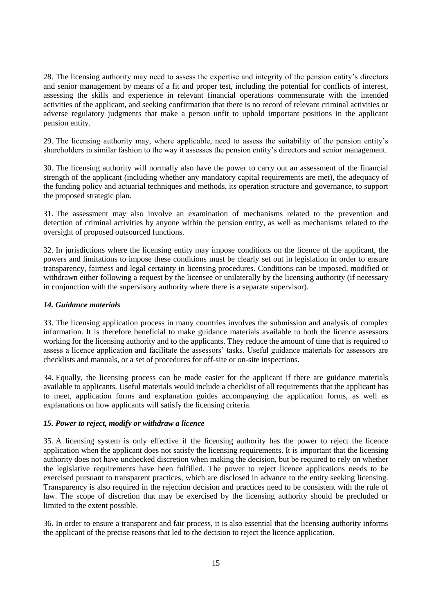28. The licensing authority may need to assess the expertise and integrity of the pension entity"s directors and senior management by means of a fit and proper test, including the potential for conflicts of interest, assessing the skills and experience in relevant financial operations commensurate with the intended activities of the applicant, and seeking confirmation that there is no record of relevant criminal activities or adverse regulatory judgments that make a person unfit to uphold important positions in the applicant pension entity.

29. The licensing authority may, where applicable, need to assess the suitability of the pension entity"s shareholders in similar fashion to the way it assesses the pension entity"s directors and senior management.

30. The licensing authority will normally also have the power to carry out an assessment of the financial strength of the applicant (including whether any mandatory capital requirements are met), the adequacy of the funding policy and actuarial techniques and methods, its operation structure and governance, to support the proposed strategic plan.

31. The assessment may also involve an examination of mechanisms related to the prevention and detection of criminal activities by anyone within the pension entity, as well as mechanisms related to the oversight of proposed outsourced functions.

32. In jurisdictions where the licensing entity may impose conditions on the licence of the applicant, the powers and limitations to impose these conditions must be clearly set out in legislation in order to ensure transparency, fairness and legal certainty in licensing procedures. Conditions can be imposed, modified or withdrawn either following a request by the licensee or unilaterally by the licensing authority (if necessary in conjunction with the supervisory authority where there is a separate supervisor).

#### *14. Guidance materials*

33. The licensing application process in many countries involves the submission and analysis of complex information. It is therefore beneficial to make guidance materials available to both the licence assessors working for the licensing authority and to the applicants. They reduce the amount of time that is required to assess a licence application and facilitate the assessors' tasks. Useful guidance materials for assessors are checklists and manuals, or a set of procedures for off-site or on-site inspections.

34. Equally, the licensing process can be made easier for the applicant if there are guidance materials available to applicants. Useful materials would include a checklist of all requirements that the applicant has to meet, application forms and explanation guides accompanying the application forms, as well as explanations on how applicants will satisfy the licensing criteria.

#### *15. Power to reject, modify or withdraw a licence*

35. A licensing system is only effective if the licensing authority has the power to reject the licence application when the applicant does not satisfy the licensing requirements. It is important that the licensing authority does not have unchecked discretion when making the decision, but be required to rely on whether the legislative requirements have been fulfilled. The power to reject licence applications needs to be exercised pursuant to transparent practices, which are disclosed in advance to the entity seeking licensing. Transparency is also required in the rejection decision and practices need to be consistent with the rule of law. The scope of discretion that may be exercised by the licensing authority should be precluded or limited to the extent possible.

36. In order to ensure a transparent and fair process, it is also essential that the licensing authority informs the applicant of the precise reasons that led to the decision to reject the licence application.